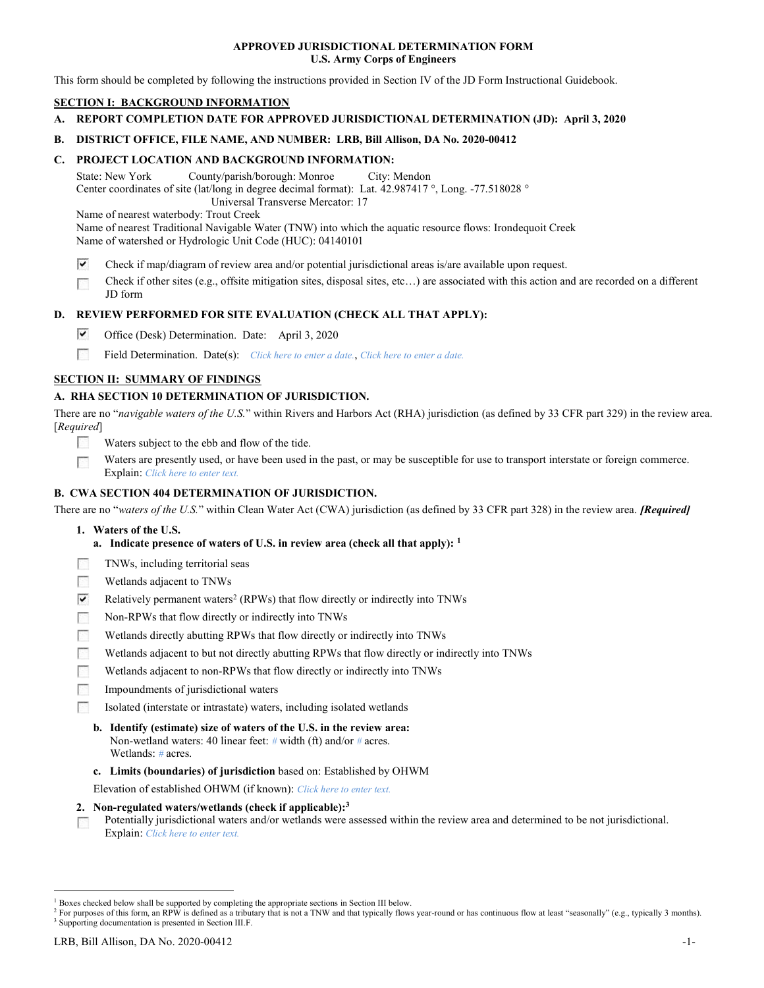## APPROVED JURISDICTIONAL DETERMINATION FORM U.S. Army Corps of Engineers

This form should be completed by following the instructions provided in Section IV of the JD Form Instructional Guidebook.

## SECTION I: BACKGROUND INFORMATION

A. REPORT COMPLETION DATE FOR APPROVED JURISDICTIONAL DETERMINATION (JD): April 3, 2020

## B. DISTRICT OFFICE, FILE NAME, AND NUMBER: LRB, Bill Allison, DA No. 2020-00412

## C. PROJECT LOCATION AND BACKGROUND INFORMATION:

State: New York County/parish/borough: Monroe City: Mendon Center coordinates of site (lat/long in degree decimal format): Lat. 42.987417 °, Long. -77.518028 ° Universal Transverse Mercator: 17

Name of nearest waterbody: Trout Creek

Name of nearest Traditional Navigable Water (TNW) into which the aquatic resource flows: Irondequoit Creek Name of watershed or Hydrologic Unit Code (HUC): 04140101

- ▽ Check if map/diagram of review area and/or potential jurisdictional areas is/are available upon request.
- Check if other sites (e.g., offsite mitigation sites, disposal sites, etc…) are associated with this action and are recorded on a different p. JD form

## D. REVIEW PERFORMED FOR SITE EVALUATION (CHECK ALL THAT APPLY):

- ▽ Office (Desk) Determination. Date: April 3, 2020
- P. Field Determination. Date(s): Click here to enter a date., Click here to enter a date.

## SECTION II: SUMMARY OF FINDINGS

## A. RHA SECTION 10 DETERMINATION OF JURISDICTION.

There are no "navigable waters of the U.S." within Rivers and Harbors Act (RHA) jurisdiction (as defined by 33 CFR part 329) in the review area. [Required]

- Waters subject to the ebb and flow of the tide.
- Waters are presently used, or have been used in the past, or may be susceptible for use to transport interstate or foreign commerce. **COLLEGE** Explain: Click here to enter text.

## B. CWA SECTION 404 DETERMINATION OF JURISDICTION.

There are no "waters of the U.S." within Clean Water Act (CWA) jurisdiction (as defined by 33 CFR part 328) in the review area. [Required]

- 1. Waters of the U.S.
	- a. Indicate presence of waters of U.S. in review area (check all that apply):  $<sup>1</sup>$ </sup>
- TNWs, including territorial seas **The Street**
- 四 Wetlands adjacent to TNWs
- $\overline{\mathbf{v}}$ Relatively permanent waters<sup>2</sup> (RPWs) that flow directly or indirectly into TNWs
- $\sim$ Non-RPWs that flow directly or indirectly into TNWs
- **Property** Wetlands directly abutting RPWs that flow directly or indirectly into TNWs
- Wetlands adjacent to but not directly abutting RPWs that flow directly or indirectly into TNWs
- Wetlands adjacent to non-RPWs that flow directly or indirectly into TNWs 四
- **STEP** Impoundments of jurisdictional waters
- **All Control** Isolated (interstate or intrastate) waters, including isolated wetlands
	- b. Identify (estimate) size of waters of the U.S. in the review area: Non-wetland waters: 40 linear feet: # width (ft) and/or # acres. Wetlands: # acres.
	- c. Limits (boundaries) of jurisdiction based on: Established by OHWM

Elevation of established OHWM (if known): Click here to enter text.

- 2. Non-regulated waters/wetlands (check if applicable): $3$
- Potentially jurisdictional waters and/or wetlands were assessed within the review area and determined to be not jurisdictional. **Contract** Explain: Click here to enter text.

 $\overline{a}$ 

<sup>&</sup>lt;sup>1</sup> Boxes checked below shall be supported by completing the appropriate sections in Section III below.

<sup>&</sup>lt;sup>2</sup> For purposes of this form, an RPW is defined as a tributary that is not a TNW and that typically flows year-round or has continuous flow at least "seasonally" (e.g., typically 3 months). <sup>3</sup> Supporting documentation is presented in Section III.F.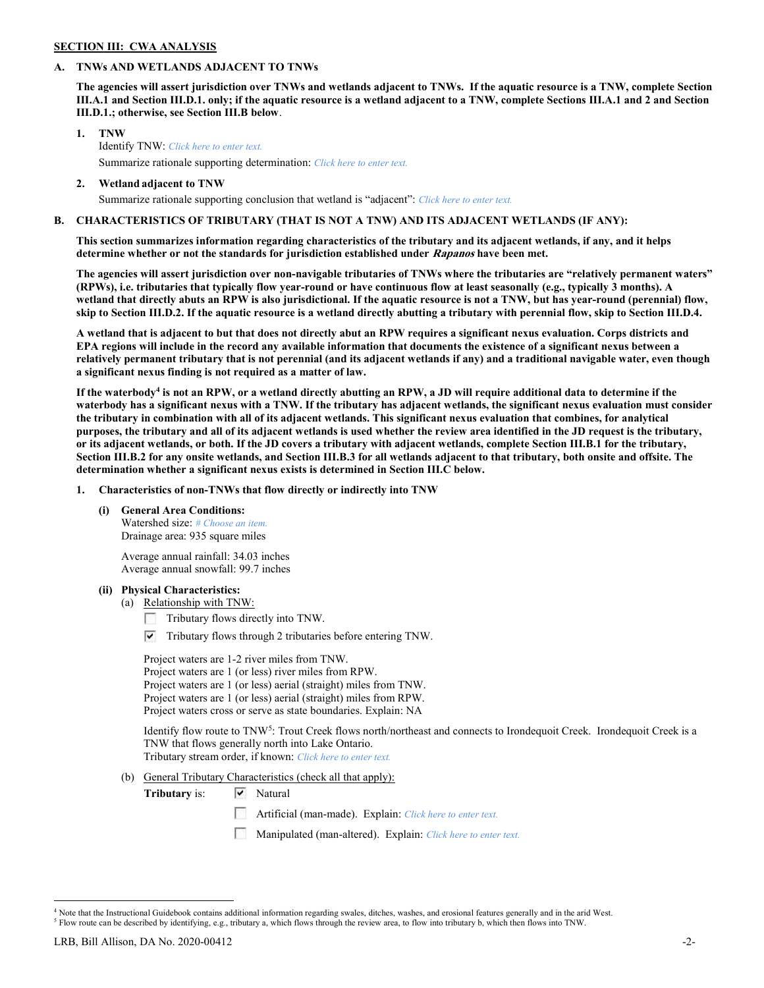## SECTION III: CWA ANALYSIS

## A. TNWs AND WETLANDS ADJACENT TO TNWs

The agencies will assert jurisdiction over TNWs and wetlands adjacent to TNWs. If the aquatic resource is a TNW, complete Section III.A.1 and Section III.D.1. only; if the aquatic resource is a wetland adjacent to a TNW, complete Sections III.A.1 and 2 and Section III.D.1.; otherwise, see Section III.B below.

- 1. TNW Identify TNW: Click here to enter text. Summarize rationale supporting determination: Click here to enter text.
- 2. Wetland adjacent to TNW Summarize rationale supporting conclusion that wetland is "adjacent": Click here to enter text.

## B. CHARACTERISTICS OF TRIBUTARY (THAT IS NOT A TNW) AND ITS ADJACENT WETLANDS (IF ANY):

This section summarizes information regarding characteristics of the tributary and its adjacent wetlands, if any, and it helps determine whether or not the standards for jurisdiction established under Rapanos have been met.

The agencies will assert jurisdiction over non-navigable tributaries of TNWs where the tributaries are "relatively permanent waters" (RPWs), i.e. tributaries that typically flow year-round or have continuous flow at least seasonally (e.g., typically 3 months). A wetland that directly abuts an RPW is also jurisdictional. If the aquatic resource is not a TNW, but has year-round (perennial) flow, skip to Section III.D.2. If the aquatic resource is a wetland directly abutting a tributary with perennial flow, skip to Section III.D.4.

A wetland that is adjacent to but that does not directly abut an RPW requires a significant nexus evaluation. Corps districts and EPA regions will include in the record any available information that documents the existence of a significant nexus between a relatively permanent tributary that is not perennial (and its adjacent wetlands if any) and a traditional navigable water, even though a significant nexus finding is not required as a matter of law.

If the waterbody<sup>4</sup> is not an RPW, or a wetland directly abutting an RPW, a JD will require additional data to determine if the waterbody has a significant nexus with a TNW. If the tributary has adjacent wetlands, the significant nexus evaluation must consider the tributary in combination with all of its adjacent wetlands. This significant nexus evaluation that combines, for analytical purposes, the tributary and all of its adjacent wetlands is used whether the review area identified in the JD request is the tributary, or its adjacent wetlands, or both. If the JD covers a tributary with adjacent wetlands, complete Section III.B.1 for the tributary, Section III.B.2 for any onsite wetlands, and Section III.B.3 for all wetlands adjacent to that tributary, both onsite and offsite. The determination whether a significant nexus exists is determined in Section III.C below.

1. Characteristics of non-TNWs that flow directly or indirectly into TNW

(i) General Area Conditions:

Watershed size: # Choose an item. Drainage area: 935 square miles

 Average annual rainfall: 34.03 inches Average annual snowfall: 99.7 inches

## (ii) Physical Characteristics:

- (a) Relationship with TNW:
	- Tributary flows directly into TNW.
	- $\triangledown$  Tributary flows through 2 tributaries before entering TNW.

 Project waters are 1-2 river miles from TNW. Project waters are 1 (or less) river miles from RPW. Project waters are 1 (or less) aerial (straight) miles from TNW. Project waters are 1 (or less) aerial (straight) miles from RPW. Project waters cross or serve as state boundaries. Explain: NA

Identify flow route to TNW<sup>5</sup>: Trout Creek flows north/northeast and connects to Irondequoit Creek. Irondequoit Creek is a TNW that flows generally north into Lake Ontario. Tributary stream order, if known: Click here to enter text.

(b) General Tributary Characteristics (check all that apply):

Tributary is:  $\forall$  Natural

- **Artificial (man-made).** Explain: Click here to enter text.
- Manipulated (man-altered). Explain: Click here to enter text.

 $\overline{a}$ <sup>4</sup> Note that the Instructional Guidebook contains additional information regarding swales, ditches, washes, and erosional features generally and in the arid West.

 $^5$  Flow route can be described by identifying, e.g., tributary a, which flows through the review area, to flow into tributary b, which then flows into TNW.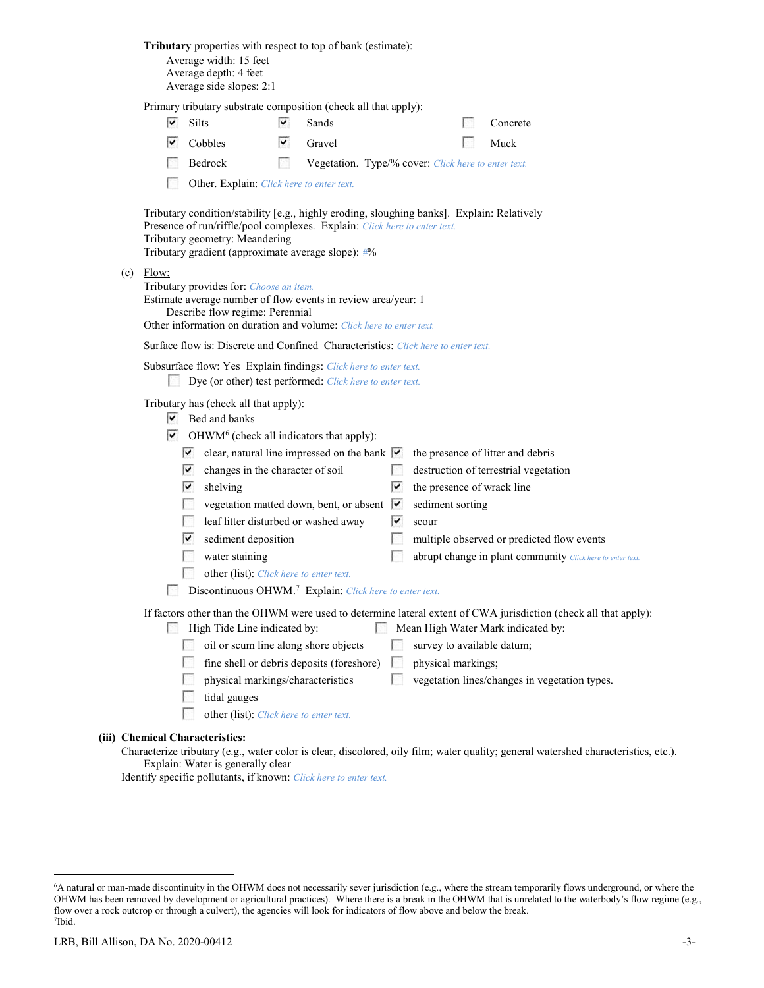| <b>Tributary</b> properties with respect to top of bank (estimate):<br>Average width: 15 feet<br>Average depth: 4 feet<br>Average side slopes: 2:1                                                                                                                                                                                                                                                                                                                                                                                                                                                                                                                                                                                                                                                                                                                                                                                                         |
|------------------------------------------------------------------------------------------------------------------------------------------------------------------------------------------------------------------------------------------------------------------------------------------------------------------------------------------------------------------------------------------------------------------------------------------------------------------------------------------------------------------------------------------------------------------------------------------------------------------------------------------------------------------------------------------------------------------------------------------------------------------------------------------------------------------------------------------------------------------------------------------------------------------------------------------------------------|
| Primary tributary substrate composition (check all that apply):<br>V.<br>Silts<br>⊻<br>Sands<br>Concrete                                                                                                                                                                                                                                                                                                                                                                                                                                                                                                                                                                                                                                                                                                                                                                                                                                                   |
| ▽<br>v<br>Cobbles<br>Gravel<br>Muck                                                                                                                                                                                                                                                                                                                                                                                                                                                                                                                                                                                                                                                                                                                                                                                                                                                                                                                        |
| Bedrock<br><b>B</b><br>Vegetation. Type/% cover: Click here to enter text.                                                                                                                                                                                                                                                                                                                                                                                                                                                                                                                                                                                                                                                                                                                                                                                                                                                                                 |
| Other. Explain: Click here to enter text.                                                                                                                                                                                                                                                                                                                                                                                                                                                                                                                                                                                                                                                                                                                                                                                                                                                                                                                  |
| Tributary condition/stability [e.g., highly eroding, sloughing banks]. Explain: Relatively<br>Presence of run/riffle/pool complexes. Explain: Click here to enter text.<br>Tributary geometry: Meandering<br>Tributary gradient (approximate average slope): #%                                                                                                                                                                                                                                                                                                                                                                                                                                                                                                                                                                                                                                                                                            |
| $(c)$ Flow:<br>Tributary provides for: Choose an item.<br>Estimate average number of flow events in review area/year: 1<br>Describe flow regime: Perennial<br>Other information on duration and volume: Click here to enter text.                                                                                                                                                                                                                                                                                                                                                                                                                                                                                                                                                                                                                                                                                                                          |
| Surface flow is: Discrete and Confined Characteristics: Click here to enter text.                                                                                                                                                                                                                                                                                                                                                                                                                                                                                                                                                                                                                                                                                                                                                                                                                                                                          |
| Subsurface flow: Yes Explain findings: Click here to enter text.<br>Dye (or other) test performed: Click here to enter text.                                                                                                                                                                                                                                                                                                                                                                                                                                                                                                                                                                                                                                                                                                                                                                                                                               |
| Tributary has (check all that apply):<br>$\triangleright$ Bed and banks<br>$\triangleright$ OHWM <sup>6</sup> (check all indicators that apply):<br>clear, natural line impressed on the bank $ \overline{\mathbf{v}} $<br>the presence of litter and debris<br>$\overline{\mathsf{v}}$<br>M<br>changes in the character of soil<br>destruction of terrestrial vegetation<br>▽<br>▽<br>the presence of wrack line<br>shelving<br>vegetation matted down, bent, or absent v<br>sediment sorting<br>leaf litter disturbed or washed away<br>M<br>scour<br>sediment deposition<br>V<br>L.<br>multiple observed or predicted flow events<br>water staining<br>abrupt change in plant community Click here to enter text.<br>other (list): Click here to enter text.<br>Discontinuous OHWM. <sup>7</sup> Explain: Click here to enter text.<br>If factors other than the OHWM were used to determine lateral extent of CWA jurisdiction (check all that apply): |
| High Tide Line indicated by:<br>Mean High Water Mark indicated by:<br>oil or scum line along shore objects<br>survey to available datum;<br>fine shell or debris deposits (foreshore)<br>physical markings;<br><b>COL</b><br><b>A</b><br>physical markings/characteristics<br>vegetation lines/changes in vegetation types.<br>tidal gauges<br>other (list): Click here to enter text.                                                                                                                                                                                                                                                                                                                                                                                                                                                                                                                                                                     |
| (iii) Chemical Characteristics:<br>Characterize tributary (e.g., water color is clear, discolored, oily film; water quality; general watershed characteristics,                                                                                                                                                                                                                                                                                                                                                                                                                                                                                                                                                                                                                                                                                                                                                                                            |

# $(iii)$

Characterize tributary (e.g., water color is clear, discolored, oily film; water quality; general watershed characteristics, etc.). Explain: Water is generally clear

Identify specific pollutants, if known: Click here to enter text.

 $\overline{a}$ 

<sup>6</sup>A natural or man-made discontinuity in the OHWM does not necessarily sever jurisdiction (e.g., where the stream temporarily flows underground, or where the OHWM has been removed by development or agricultural practices). Where there is a break in the OHWM that is unrelated to the waterbody's flow regime (e.g., flow over a rock outcrop or through a culvert), the agencies will look for indicators of flow above and below the break. 7 Ibid.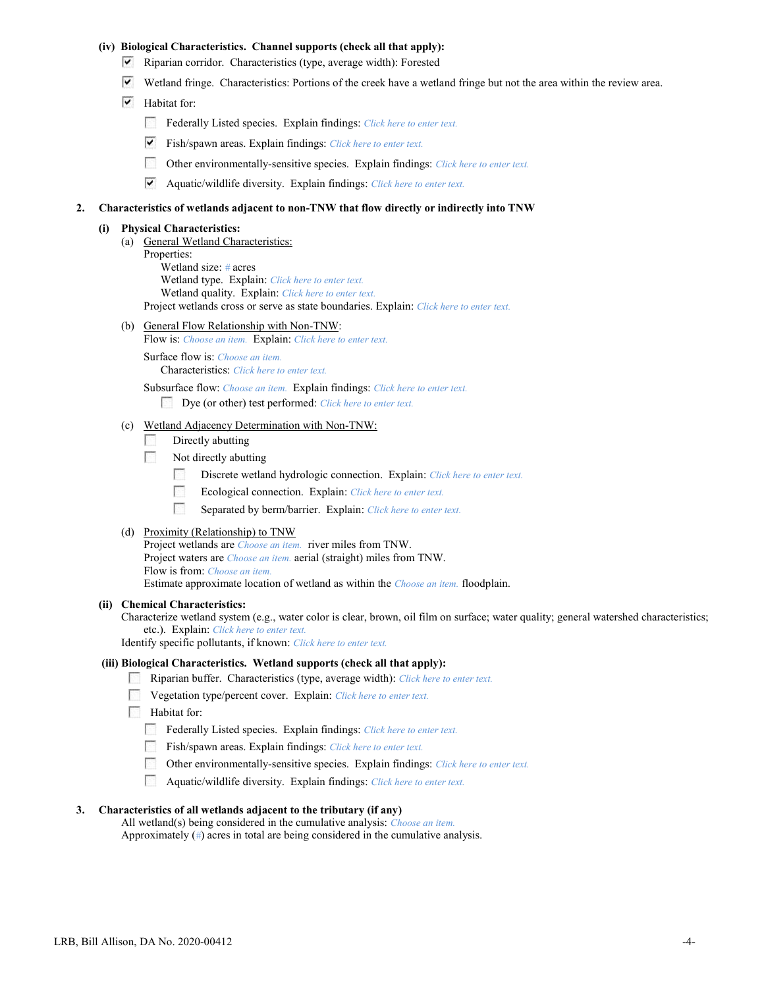## (iv) Biological Characteristics. Channel supports (check all that apply):

- Riparian corridor. Characteristics (type, average width): Forested
- Wetland fringe. Characteristics: Portions of the creek have a wetland fringe but not the area within the review area.
- $\triangledown$  Habitat for:
	- Federally Listed species. Explain findings: Click here to enter text.
	- $\triangledown$  Fish/spawn areas. Explain findings: Click here to enter text.
	- $\sim$ Other environmentally-sensitive species. Explain findings: Click here to enter text.
	- ▽ Aquatic/wildlife diversity. Explain findings: Click here to enter text.

## 2. Characteristics of wetlands adjacent to non-TNW that flow directly or indirectly into TNW

#### (i) Physical Characteristics:

 (a) General Wetland Characteristics: Properties: Wetland size: # acres Wetland type. Explain: Click here to enter text. Wetland quality. Explain: Click here to enter text. Project wetlands cross or serve as state boundaries. Explain: Click here to enter text.

- (b) General Flow Relationship with Non-TNW:
	- Flow is: Choose an item. Explain: Click here to enter text.

Surface flow is: Choose an item. Characteristics: Click here to enter text.

Subsurface flow: Choose an item. Explain findings: Click here to enter text.

Dye (or other) test performed: Click here to enter text.

## (c) Wetland Adjacency Determination with Non-TNW:

- **A** Directly abutting
- $\sim$ Not directly abutting
	- $\sim$ Discrete wetland hydrologic connection. Explain: Click here to enter text.
	- $\sim$ Ecological connection. Explain: Click here to enter text.
	- $\mathcal{L}_{\mathcal{A}}$ Separated by berm/barrier. Explain: Click here to enter text.

#### (d) Proximity (Relationship) to TNW

Project wetlands are *Choose an item.* river miles from TNW. Project waters are *Choose an item.* aerial (straight) miles from TNW. Flow is from: Choose an item. Estimate approximate location of wetland as within the Choose an item. floodplain.

#### (ii) Chemical Characteristics:

Characterize wetland system (e.g., water color is clear, brown, oil film on surface; water quality; general watershed characteristics; etc.). Explain: Click here to enter text.

Identify specific pollutants, if known: Click here to enter text.

#### (iii) Biological Characteristics. Wetland supports (check all that apply):

- **Riparian buffer.** Characteristics (type, average width): Click here to enter text.
- $\Box$  Vegetation type/percent cover. Explain: *Click here to enter text.*
- **Habitat for:** 
	- **Federally Listed species. Explain findings:** Click here to enter text.
	- Fish/spawn areas. Explain findings: Click here to enter text.
	- Other environmentally-sensitive species. Explain findings: Click here to enter text.
	- **Aquatic/wildlife diversity. Explain findings:** Click here to enter text.

## 3. Characteristics of all wetlands adjacent to the tributary (if any)

All wetland(s) being considered in the cumulative analysis: Choose an item. Approximately (#) acres in total are being considered in the cumulative analysis.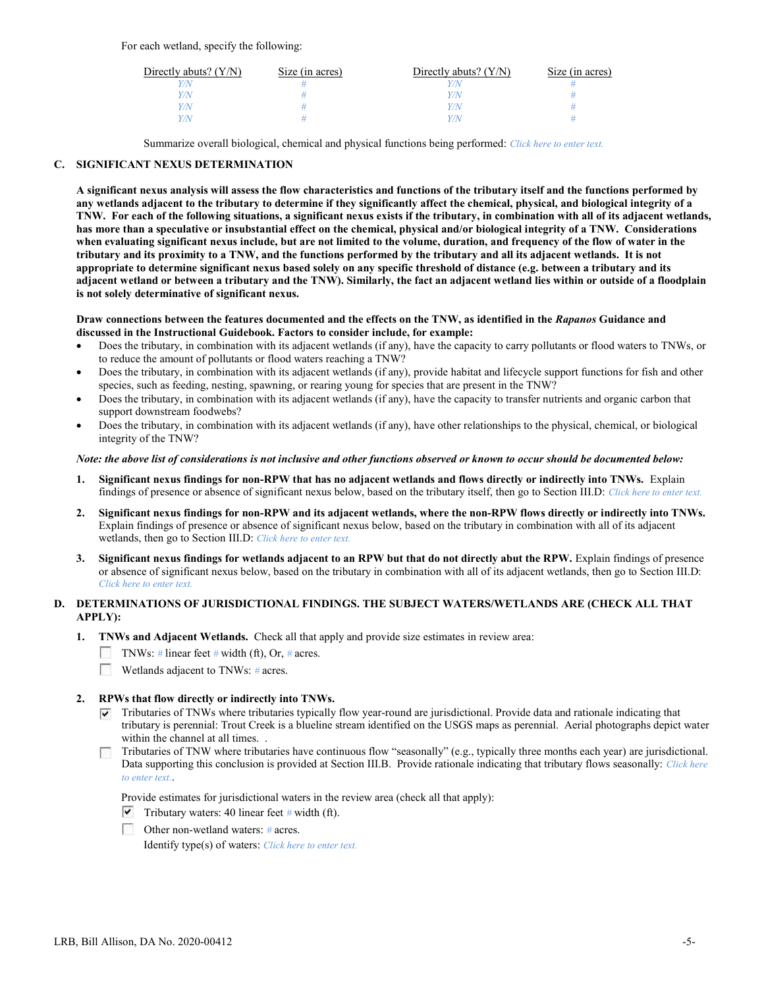| Directly abuts? $(Y/N)$ | Size (in acres) | Directly abuts? $(Y/N)$ | Size (in acres) |
|-------------------------|-----------------|-------------------------|-----------------|
|                         |                 |                         |                 |
|                         |                 |                         |                 |
| 7N                      |                 |                         |                 |
|                         |                 |                         |                 |

Summarize overall biological, chemical and physical functions being performed: Click here to enter text.

## C. SIGNIFICANT NEXUS DETERMINATION

A significant nexus analysis will assess the flow characteristics and functions of the tributary itself and the functions performed by any wetlands adjacent to the tributary to determine if they significantly affect the chemical, physical, and biological integrity of a TNW. For each of the following situations, a significant nexus exists if the tributary, in combination with all of its adjacent wetlands, has more than a speculative or insubstantial effect on the chemical, physical and/or biological integrity of a TNW. Considerations when evaluating significant nexus include, but are not limited to the volume, duration, and frequency of the flow of water in the tributary and its proximity to a TNW, and the functions performed by the tributary and all its adjacent wetlands. It is not appropriate to determine significant nexus based solely on any specific threshold of distance (e.g. between a tributary and its adjacent wetland or between a tributary and the TNW). Similarly, the fact an adjacent wetland lies within or outside of a floodplain is not solely determinative of significant nexus.

#### Draw connections between the features documented and the effects on the TNW, as identified in the Rapanos Guidance and discussed in the Instructional Guidebook. Factors to consider include, for example:

- Does the tributary, in combination with its adjacent wetlands (if any), have the capacity to carry pollutants or flood waters to TNWs, or to reduce the amount of pollutants or flood waters reaching a TNW?
- Does the tributary, in combination with its adjacent wetlands (if any), provide habitat and lifecycle support functions for fish and other species, such as feeding, nesting, spawning, or rearing young for species that are present in the TNW?
- Does the tributary, in combination with its adjacent wetlands (if any), have the capacity to transfer nutrients and organic carbon that support downstream foodwebs?
- Does the tributary, in combination with its adjacent wetlands (if any), have other relationships to the physical, chemical, or biological integrity of the TNW?

#### Note: the above list of considerations is not inclusive and other functions observed or known to occur should be documented below:

- 1. Significant nexus findings for non-RPW that has no adjacent wetlands and flows directly or indirectly into TNWs. Explain findings of presence or absence of significant nexus below, based on the tributary itself, then go to Section III.D: Click here to enter text.
- 2. Significant nexus findings for non-RPW and its adjacent wetlands, where the non-RPW flows directly or indirectly into TNWs. Explain findings of presence or absence of significant nexus below, based on the tributary in combination with all of its adjacent wetlands, then go to Section III.D: Click here to enter text.
- 3. Significant nexus findings for wetlands adjacent to an RPW but that do not directly abut the RPW. Explain findings of presence or absence of significant nexus below, based on the tributary in combination with all of its adjacent wetlands, then go to Section III.D: Click here to enter text.

## D. DETERMINATIONS OF JURISDICTIONAL FINDINGS. THE SUBJECT WATERS/WETLANDS ARE (CHECK ALL THAT APPLY):

- 1. TNWs and Adjacent Wetlands. Check all that apply and provide size estimates in review area:
	- TNWs: # linear feet # width (ft), Or, # acres.
	- **Wetlands adjacent to TNWs:**  $\#$  acres.

## 2. RPWs that flow directly or indirectly into TNWs.

- Tributaries of TNWs where tributaries typically flow year-round are jurisdictional. Provide data and rationale indicating that tributary is perennial: Trout Creek is a blueline stream identified on the USGS maps as perennial. Aerial photographs depict water within the channel at all times...
- Tributaries of TNW where tributaries have continuous flow "seasonally" (e.g., typically three months each year) are jurisdictional. Data supporting this conclusion is provided at Section III.B. Provide rationale indicating that tributary flows seasonally: Click here to enter text..

Provide estimates for jurisdictional waters in the review area (check all that apply):

- $\triangledown$  Tributary waters: 40 linear feet # width (ft).
- Other non-wetland waters:  $\#$  acres.

Identify type(s) of waters: Click here to enter text.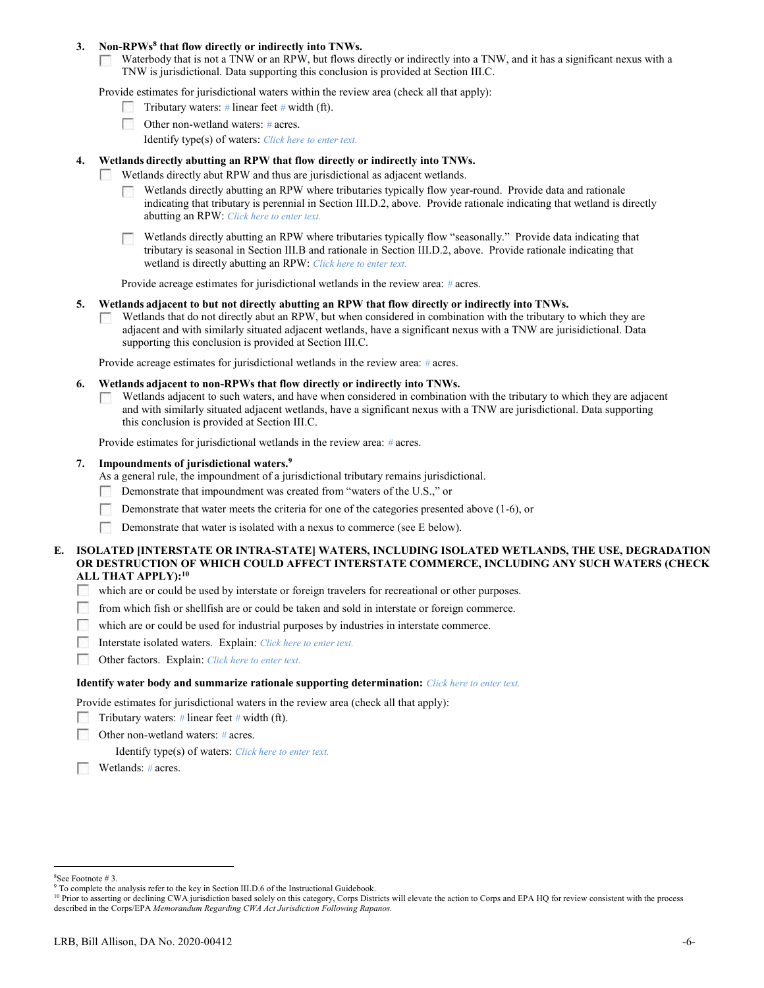## 3. Non-RPWs<sup>8</sup> that flow directly or indirectly into TNWs.

Waterbody that is not a TNW or an RPW, but flows directly or indirectly into a TNW, and it has a significant nexus with a **Second** TNW is jurisdictional. Data supporting this conclusion is provided at Section III.C.

Provide estimates for jurisdictional waters within the review area (check all that apply):

- **Tributary waters:** # linear feet # width (ft).
- Other non-wetland waters: # acres.
	- Identify type(s) of waters: Click here to enter text.

## 4. Wetlands directly abutting an RPW that flow directly or indirectly into TNWs.

- Wetlands directly abut RPW and thus are jurisdictional as adjacent wetlands. **All Street** 
	- Wetlands directly abutting an RPW where tributaries typically flow year-round. Provide data and rationale indicating that tributary is perennial in Section III.D.2, above. Provide rationale indicating that wetland is directly abutting an RPW: Click here to enter text.
	- Wetlands directly abutting an RPW where tributaries typically flow "seasonally." Provide data indicating that tributary is seasonal in Section III.B and rationale in Section III.D.2, above. Provide rationale indicating that wetland is directly abutting an RPW: Click here to enter text.

Provide acreage estimates for jurisdictional wetlands in the review area: # acres.

## 5. Wetlands adjacent to but not directly abutting an RPW that flow directly or indirectly into TNWs.

Wetlands that do not directly abut an RPW, but when considered in combination with the tributary to which they are adjacent and with similarly situated adjacent wetlands, have a significant nexus with a TNW are jurisidictional. Data supporting this conclusion is provided at Section III.C.

Provide acreage estimates for jurisdictional wetlands in the review area: # acres.

- 6. Wetlands adjacent to non-RPWs that flow directly or indirectly into TNWs.
	- Wetlands adjacent to such waters, and have when considered in combination with the tributary to which they are adjacent **A** and with similarly situated adjacent wetlands, have a significant nexus with a TNW are jurisdictional. Data supporting this conclusion is provided at Section III.C.

Provide estimates for jurisdictional wetlands in the review area: # acres.

#### 7. Impoundments of jurisdictional waters.<sup>9</sup>

As a general rule, the impoundment of a jurisdictional tributary remains jurisdictional.

- Demonstrate that impoundment was created from "waters of the U.S.," or
- Demonstrate that water meets the criteria for one of the categories presented above (1-6), or
- Г Demonstrate that water is isolated with a nexus to commerce (see E below).

## E. ISOLATED [INTERSTATE OR INTRA-STATE] WATERS, INCLUDING ISOLATED WETLANDS, THE USE, DEGRADATION OR DESTRUCTION OF WHICH COULD AFFECT INTERSTATE COMMERCE, INCLUDING ANY SUCH WATERS (CHECK ALL THAT APPLY):<sup>10</sup>

- $\sim$ which are or could be used by interstate or foreign travelers for recreational or other purposes.
- from which fish or shellfish are or could be taken and sold in interstate or foreign commerce.  $\sim$
- $\sim$ which are or could be used for industrial purposes by industries in interstate commerce.
- **Contract** Interstate isolated waters. Explain: Click here to enter text.
- **COL** Other factors. Explain: Click here to enter text.

#### Identify water body and summarize rationale supporting determination: Click here to enter text.

Provide estimates for jurisdictional waters in the review area (check all that apply):

- Tributary waters: # linear feet # width (ft).
- Б Other non-wetland waters: # acres.

Identify type(s) of waters: Click here to enter text.

**Wetlands:**  $\#$  acres.

 $\overline{a}$ 

<sup>8</sup>See Footnote # 3.

<sup>&</sup>lt;sup>9</sup> To complete the analysis refer to the key in Section III.D.6 of the Instructional Guidebook.

<sup>&</sup>lt;sup>10</sup> Prior to asserting or declining CWA jurisdiction based solely on this category, Corps Districts will elevate the action to Corps and EPA HQ for review consistent with the process described in the Corps/EPA Memorandum Regarding CWA Act Jurisdiction Following Rapanos.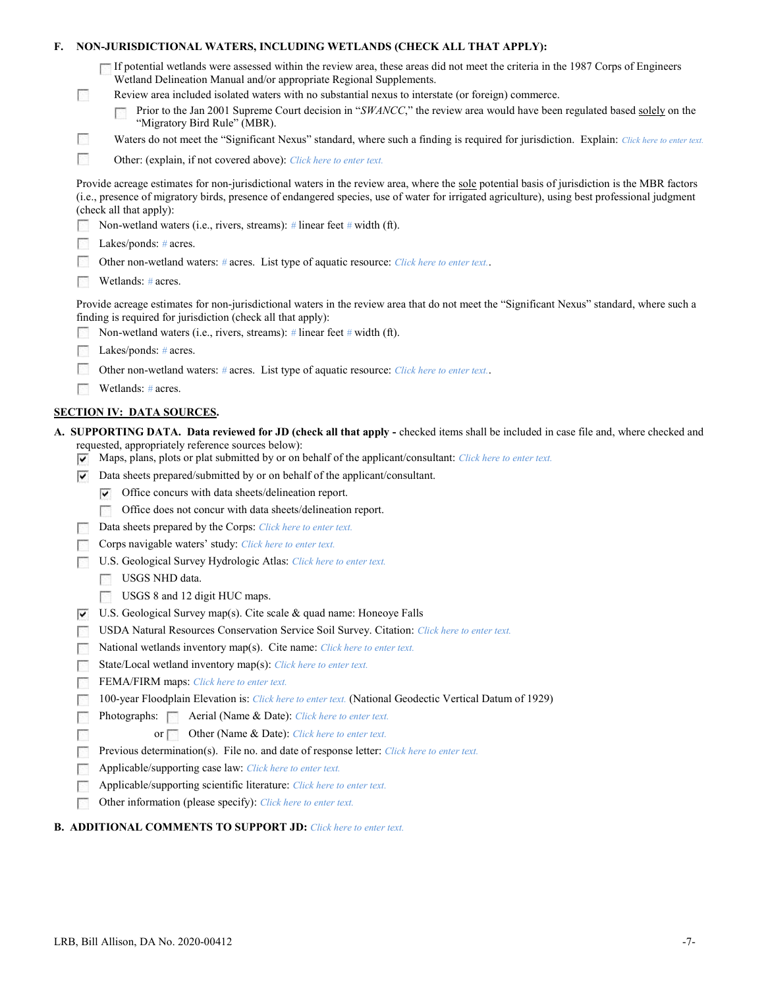| F. |                             | NON-JURISDICTIONAL WATERS, INCLUDING WETLANDS (CHECK ALL THAT APPLY):                                                                                                                                                                                                                                                                                                                                |
|----|-----------------------------|------------------------------------------------------------------------------------------------------------------------------------------------------------------------------------------------------------------------------------------------------------------------------------------------------------------------------------------------------------------------------------------------------|
|    | <b>B</b>                    | If potential wetlands were assessed within the review area, these areas did not meet the criteria in the 1987 Corps of Engineers<br>Wetland Delineation Manual and/or appropriate Regional Supplements.<br>Review area included isolated waters with no substantial nexus to interstate (or foreign) commerce.                                                                                       |
|    |                             | Prior to the Jan 2001 Supreme Court decision in "SWANCC," the review area would have been regulated based solely on the<br>"Migratory Bird Rule" (MBR).                                                                                                                                                                                                                                              |
|    | $\mathcal{L}_{\mathcal{A}}$ | Waters do not meet the "Significant Nexus" standard, where such a finding is required for jurisdiction. Explain: Click here to enter text.                                                                                                                                                                                                                                                           |
|    | Г                           | Other: (explain, if not covered above): Click here to enter text.                                                                                                                                                                                                                                                                                                                                    |
|    |                             | Provide acreage estimates for non-jurisdictional waters in the review area, where the sole potential basis of jurisdiction is the MBR factors<br>(i.e., presence of migratory birds, presence of endangered species, use of water for irrigated agriculture), using best professional judgment<br>(check all that apply):<br>Non-wetland waters (i.e., rivers, streams): # linear feet # width (ft). |
|    |                             | Lakes/ponds: $# \, \text{acres.}$                                                                                                                                                                                                                                                                                                                                                                    |
|    |                             | Other non-wetland waters: # acres. List type of aquatic resource: Click here to enter text                                                                                                                                                                                                                                                                                                           |
|    |                             | Wetlands: # acres.                                                                                                                                                                                                                                                                                                                                                                                   |
|    |                             |                                                                                                                                                                                                                                                                                                                                                                                                      |
|    |                             | Provide acreage estimates for non-jurisdictional waters in the review area that do not meet the "Significant Nexus" standard, where such a<br>finding is required for jurisdiction (check all that apply):                                                                                                                                                                                           |
|    |                             | Non-wetland waters (i.e., rivers, streams): # linear feet # width (ft).                                                                                                                                                                                                                                                                                                                              |
|    |                             | Lakes/ponds: $# \, \text{acres.}$                                                                                                                                                                                                                                                                                                                                                                    |
|    |                             | Other non-wetland waters: # acres. List type of aquatic resource: Click here to enter text                                                                                                                                                                                                                                                                                                           |
|    |                             | Wetlands: # acres.                                                                                                                                                                                                                                                                                                                                                                                   |
|    |                             | <b>SECTION IV: DATA SOURCES.</b>                                                                                                                                                                                                                                                                                                                                                                     |
|    |                             | A. SUPPORTING DATA. Data reviewed for JD (check all that apply - checked items shall be included in case file and, where checked and                                                                                                                                                                                                                                                                 |
|    | V                           | requested, appropriately reference sources below):<br>Maps, plans, plots or plat submitted by or on behalf of the applicant/consultant: Click here to enter text.                                                                                                                                                                                                                                    |
|    | ▽                           | Data sheets prepared/submitted by or on behalf of the applicant/consultant.                                                                                                                                                                                                                                                                                                                          |
|    |                             | Office concurs with data sheets/delineation report.<br>▽                                                                                                                                                                                                                                                                                                                                             |
|    |                             | Office does not concur with data sheets/delineation report.                                                                                                                                                                                                                                                                                                                                          |
|    |                             | Data sheets prepared by the Corps: Click here to enter text.                                                                                                                                                                                                                                                                                                                                         |
|    |                             | Corps navigable waters' study: Click here to enter text.                                                                                                                                                                                                                                                                                                                                             |
|    |                             | U.S. Geological Survey Hydrologic Atlas: Click here to enter text.                                                                                                                                                                                                                                                                                                                                   |
|    |                             | USGS NHD data.                                                                                                                                                                                                                                                                                                                                                                                       |
|    |                             | USGS 8 and 12 digit HUC maps.                                                                                                                                                                                                                                                                                                                                                                        |
|    | v                           | U.S. Geological Survey map(s). Cite scale & quad name: Honeoye Falls                                                                                                                                                                                                                                                                                                                                 |
|    |                             | USDA Natural Resources Conservation Service Soil Survey. Citation: Click here to enter text.                                                                                                                                                                                                                                                                                                         |
|    |                             | National wetlands inventory map(s). Cite name: Click here to enter text.                                                                                                                                                                                                                                                                                                                             |
|    | M.                          | State/Local wetland inventory map(s): Click here to enter text.                                                                                                                                                                                                                                                                                                                                      |
|    |                             | FEMA/FIRM maps: Click here to enter text.                                                                                                                                                                                                                                                                                                                                                            |
|    |                             | 100-year Floodplain Elevation is: Click here to enter text. (National Geodectic Vertical Datum of 1929)                                                                                                                                                                                                                                                                                              |
|    |                             | Photographs:<br>Aerial (Name & Date): Click here to enter text.                                                                                                                                                                                                                                                                                                                                      |
|    |                             | Other (Name & Date): Click here to enter text.<br>$or \Box$                                                                                                                                                                                                                                                                                                                                          |
|    |                             | Previous determination(s). File no. and date of response letter: Click here to enter text.                                                                                                                                                                                                                                                                                                           |
|    |                             | Applicable/supporting case law: Click here to enter text.                                                                                                                                                                                                                                                                                                                                            |
|    |                             | Applicable/supporting scientific literature: Click here to enter text.                                                                                                                                                                                                                                                                                                                               |
|    |                             | Other information (please specify): Click here to enter text.                                                                                                                                                                                                                                                                                                                                        |
|    |                             | <b>B. ADDITIONAL COMMENTS TO SUPPORT JD:</b> Click here to enter text.                                                                                                                                                                                                                                                                                                                               |